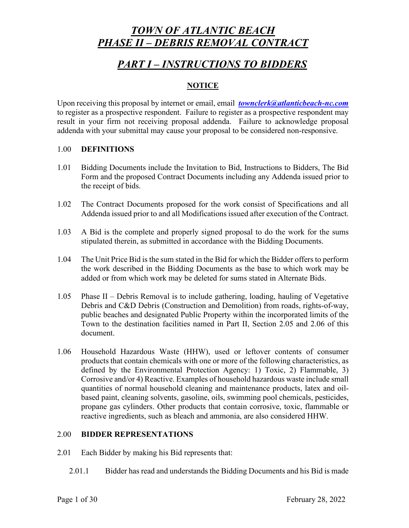# *PART I – INSTRUCTIONS TO BIDDERS*

#### **NOTICE**

Upon receiving this proposal by internet or email, email *townclerk@atlanticbeach-nc.com* to register as a prospective respondent. Failure to register as a prospective respondent may result in your firm not receiving proposal addenda. Failure to acknowledge proposal addenda with your submittal may cause your proposal to be considered non-responsive.

#### 1.00 **DEFINITIONS**

- 1.01 Bidding Documents include the Invitation to Bid, Instructions to Bidders, The Bid Form and the proposed Contract Documents including any Addenda issued prior to the receipt of bids.
- 1.02 The Contract Documents proposed for the work consist of Specifications and all Addenda issued prior to and all Modifications issued after execution of the Contract.
- 1.03 A Bid is the complete and properly signed proposal to do the work for the sums stipulated therein, as submitted in accordance with the Bidding Documents.
- 1.04 The Unit Price Bid is the sum stated in the Bid for which the Bidder offers to perform the work described in the Bidding Documents as the base to which work may be added or from which work may be deleted for sums stated in Alternate Bids.
- 1.05 Phase II Debris Removal is to include gathering, loading, hauling of Vegetative Debris and C&D Debris (Construction and Demolition) from roads, rights-of-way, public beaches and designated Public Property within the incorporated limits of the Town to the destination facilities named in Part II, Section 2.05 and 2.06 of this document.
- 1.06 Household Hazardous Waste (HHW), used or leftover contents of consumer products that contain chemicals with one or more of the following characteristics, as defined by the Environmental Protection Agency: 1) Toxic, 2) Flammable, 3) Corrosive and/or 4) Reactive. Examples of household hazardous waste include small quantities of normal household cleaning and maintenance products, latex and oilbased paint, cleaning solvents, gasoline, oils, swimming pool chemicals, pesticides, propane gas cylinders. Other products that contain corrosive, toxic, flammable or reactive ingredients, such as bleach and ammonia, are also considered HHW.

#### 2.00 **BIDDER REPRESENTATIONS**

- 2.01 Each Bidder by making his Bid represents that:
	- 2.01.1 Bidder has read and understands the Bidding Documents and his Bid is made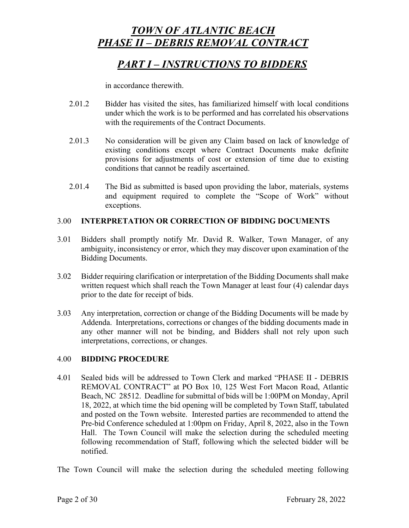# *PART I – INSTRUCTIONS TO BIDDERS*

in accordance therewith.

- 2.01.2 Bidder has visited the sites, has familiarized himself with local conditions under which the work is to be performed and has correlated his observations with the requirements of the Contract Documents.
- 2.01.3 No consideration will be given any Claim based on lack of knowledge of existing conditions except where Contract Documents make definite provisions for adjustments of cost or extension of time due to existing conditions that cannot be readily ascertained.
- 2.01.4 The Bid as submitted is based upon providing the labor, materials, systems and equipment required to complete the "Scope of Work" without exceptions.

#### 3.00 **INTERPRETATION OR CORRECTION OF BIDDING DOCUMENTS**

- 3.01 Bidders shall promptly notify Mr. David R. Walker, Town Manager, of any ambiguity, inconsistency or error, which they may discover upon examination of the Bidding Documents.
- 3.02 Bidder requiring clarification or interpretation of the Bidding Documents shall make written request which shall reach the Town Manager at least four (4) calendar days prior to the date for receipt of bids.
- 3.03 Any interpretation, correction or change of the Bidding Documents will be made by Addenda. Interpretations, corrections or changes of the bidding documents made in any other manner will not be binding, and Bidders shall not rely upon such interpretations, corrections, or changes.

#### 4.00 **BIDDING PROCEDURE**

4.01 Sealed bids will be addressed to Town Clerk and marked "PHASE II - DEBRIS REMOVAL CONTRACT" at PO Box 10, 125 West Fort Macon Road, Atlantic Beach, NC 28512. Deadline for submittal of bids will be 1:00PM on Monday, April 18, 2022, at which time the bid opening will be completed by Town Staff, tabulated and posted on the Town website. Interested parties are recommended to attend the Pre-bid Conference scheduled at 1:00pm on Friday, April 8, 2022, also in the Town Hall. The Town Council will make the selection during the scheduled meeting following recommendation of Staff, following which the selected bidder will be notified.

The Town Council will make the selection during the scheduled meeting following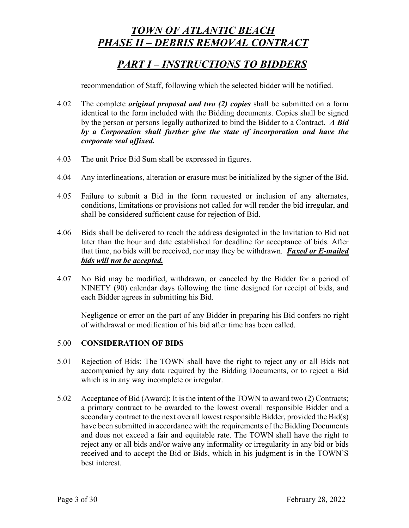# *PART I – INSTRUCTIONS TO BIDDERS*

recommendation of Staff, following which the selected bidder will be notified.

- 4.02 The complete *original proposal and two (2) copies* shall be submitted on a form identical to the form included with the Bidding documents. Copies shall be signed by the person or persons legally authorized to bind the Bidder to a Contract. *A Bid by a Corporation shall further give the state of incorporation and have the corporate seal affixed.*
- 4.03 The unit Price Bid Sum shall be expressed in figures.
- 4.04 Any interlineations, alteration or erasure must be initialized by the signer of the Bid.
- 4.05 Failure to submit a Bid in the form requested or inclusion of any alternates, conditions, limitations or provisions not called for will render the bid irregular, and shall be considered sufficient cause for rejection of Bid.
- 4.06 Bids shall be delivered to reach the address designated in the Invitation to Bid not later than the hour and date established for deadline for acceptance of bids. After that time, no bids will be received, nor may they be withdrawn. *Faxed or E-mailed bids will not be accepted.*
- 4.07 No Bid may be modified, withdrawn, or canceled by the Bidder for a period of NINETY (90) calendar days following the time designed for receipt of bids, and each Bidder agrees in submitting his Bid.

Negligence or error on the part of any Bidder in preparing his Bid confers no right of withdrawal or modification of his bid after time has been called.

#### 5.00 **CONSIDERATION OF BIDS**

- 5.01 Rejection of Bids: The TOWN shall have the right to reject any or all Bids not accompanied by any data required by the Bidding Documents, or to reject a Bid which is in any way incomplete or irregular.
- 5.02 Acceptance of Bid (Award): It is the intent of the TOWN to award two (2) Contracts; a primary contract to be awarded to the lowest overall responsible Bidder and a secondary contract to the next overall lowest responsible Bidder, provided the Bid(s) have been submitted in accordance with the requirements of the Bidding Documents and does not exceed a fair and equitable rate. The TOWN shall have the right to reject any or all bids and/or waive any informality or irregularity in any bid or bids received and to accept the Bid or Bids, which in his judgment is in the TOWN'S best interest.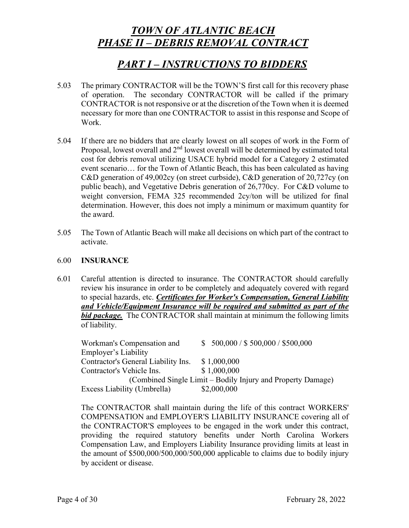### *PART I – INSTRUCTIONS TO BIDDERS*

- 5.03 The primary CONTRACTOR will be the TOWN'S first call for this recovery phase of operation. The secondary CONTRACTOR will be called if the primary CONTRACTOR is not responsive or at the discretion of the Town when it is deemed necessary for more than one CONTRACTOR to assist in this response and Scope of Work.
- 5.04 If there are no bidders that are clearly lowest on all scopes of work in the Form of Proposal, lowest overall and 2<sup>nd</sup> lowest overall will be determined by estimated total cost for debris removal utilizing USACE hybrid model for a Category 2 estimated event scenario… for the Town of Atlantic Beach, this has been calculated as having C&D generation of 49,002cy (on street curbside), C&D generation of 20,727cy (on public beach), and Vegetative Debris generation of 26,770cy. For C&D volume to weight conversion, FEMA 325 recommended 2cy/ton will be utilized for final determination. However, this does not imply a minimum or maximum quantity for the award.
- 5.05 The Town of Atlantic Beach will make all decisions on which part of the contract to activate.

#### 6.00 **INSURANCE**

6.01 Careful attention is directed to insurance. The CONTRACTOR should carefully review his insurance in order to be completely and adequately covered with regard to special hazards, etc. *Certificates for Worker's Compensation, General Liability and Vehicle/Equipment Insurance will be required and submitted as part of the bid package.* The CONTRACTOR shall maintain at minimum the following limits of liability.

| \$500,000 / \$500,000 / \$500,000                           |
|-------------------------------------------------------------|
|                                                             |
| \$1,000,000                                                 |
| \$1,000,000                                                 |
| (Combined Single Limit – Bodily Injury and Property Damage) |
| \$2,000,000                                                 |
|                                                             |

The CONTRACTOR shall maintain during the life of this contract WORKERS' COMPENSATION and EMPLOYER'S LIABILITY INSURANCE covering all of the CONTRACTOR'S employees to be engaged in the work under this contract, providing the required statutory benefits under North Carolina Workers Compensation Law, and Employers Liability Insurance providing limits at least in the amount of \$500,000/500,000/500,000 applicable to claims due to bodily injury by accident or disease.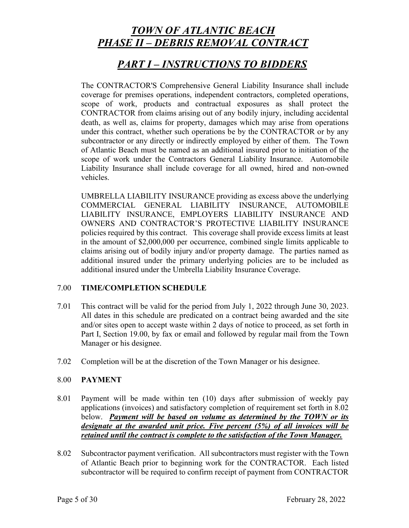## *PART I – INSTRUCTIONS TO BIDDERS*

The CONTRACTOR'S Comprehensive General Liability Insurance shall include coverage for premises operations, independent contractors, completed operations, scope of work, products and contractual exposures as shall protect the CONTRACTOR from claims arising out of any bodily injury, including accidental death, as well as, claims for property, damages which may arise from operations under this contract, whether such operations be by the CONTRACTOR or by any subcontractor or any directly or indirectly employed by either of them. The Town of Atlantic Beach must be named as an additional insured prior to initiation of the scope of work under the Contractors General Liability Insurance. Automobile Liability Insurance shall include coverage for all owned, hired and non-owned vehicles.

UMBRELLA LIABILITY INSURANCE providing as excess above the underlying COMMERCIAL GENERAL LIABILITY INSURANCE, AUTOMOBILE LIABILITY INSURANCE, EMPLOYERS LIABILITY INSURANCE AND OWNERS AND CONTRACTOR'S PROTECTIVE LIABILITY INSURANCE policies required by this contract. This coverage shall provide excess limits at least in the amount of \$2,000,000 per occurrence, combined single limits applicable to claims arising out of bodily injury and/or property damage. The parties named as additional insured under the primary underlying policies are to be included as additional insured under the Umbrella Liability Insurance Coverage.

#### 7.00 **TIME/COMPLETION SCHEDULE**

- 7.01 This contract will be valid for the period from July 1, 2022 through June 30, 2023. All dates in this schedule are predicated on a contract being awarded and the site and/or sites open to accept waste within 2 days of notice to proceed, as set forth in Part I, Section 19.00, by fax or email and followed by regular mail from the Town Manager or his designee.
- 7.02 Completion will be at the discretion of the Town Manager or his designee.

#### 8.00 **PAYMENT**

- 8.01 Payment will be made within ten (10) days after submission of weekly pay applications (invoices) and satisfactory completion of requirement set forth in 8.02 below. *Payment will be based on volume as determined by the TOWN or its designate at the awarded unit price. Five percent (5%) of all invoices will be retained until the contract is complete to the satisfaction of the Town Manager.*
- 8.02 Subcontractor payment verification. All subcontractors must register with the Town of Atlantic Beach prior to beginning work for the CONTRACTOR. Each listed subcontractor will be required to confirm receipt of payment from CONTRACTOR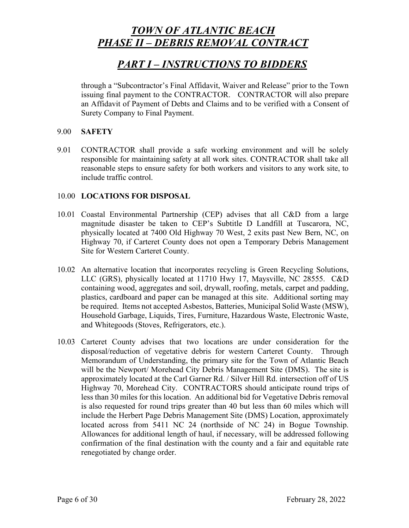### *PART I – INSTRUCTIONS TO BIDDERS*

through a "Subcontractor's Final Affidavit, Waiver and Release" prior to the Town issuing final payment to the CONTRACTOR. CONTRACTOR will also prepare an Affidavit of Payment of Debts and Claims and to be verified with a Consent of Surety Company to Final Payment.

#### 9.00 **SAFETY**

9.01 CONTRACTOR shall provide a safe working environment and will be solely responsible for maintaining safety at all work sites. CONTRACTOR shall take all reasonable steps to ensure safety for both workers and visitors to any work site, to include traffic control.

#### 10.00 **LOCATIONS FOR DISPOSAL**

- 10.01 Coastal Environmental Partnership (CEP) advises that all C&D from a large magnitude disaster be taken to CEP's Subtitle D Landfill at Tuscarora, NC, physically located at 7400 Old Highway 70 West, 2 exits past New Bern, NC, on Highway 70, if Carteret County does not open a Temporary Debris Management Site for Western Carteret County.
- 10.02 An alternative location that incorporates recycling is Green Recycling Solutions, LLC (GRS), physically located at 11710 Hwy 17, Maysville, NC 28555. C&D containing wood, aggregates and soil, drywall, roofing, metals, carpet and padding, plastics, cardboard and paper can be managed at this site. Additional sorting may be required. Items not accepted Asbestos, Batteries, Municipal Solid Waste (MSW), Household Garbage, Liquids, Tires, Furniture, Hazardous Waste, Electronic Waste, and Whitegoods (Stoves, Refrigerators, etc.).
- 10.03 Carteret County advises that two locations are under consideration for the disposal/reduction of vegetative debris for western Carteret County. Through Memorandum of Understanding, the primary site for the Town of Atlantic Beach will be the Newport/ Morehead City Debris Management Site (DMS). The site is approximately located at the Carl Garner Rd. / Silver Hill Rd. intersection off of US Highway 70, Morehead City. CONTRACTORS should anticipate round trips of less than 30 miles for this location. An additional bid for Vegetative Debris removal is also requested for round trips greater than 40 but less than 60 miles which will include the Herbert Page Debris Management Site (DMS) Location, approximately located across from 5411 NC 24 (northside of NC 24) in Bogue Township. Allowances for additional length of haul, if necessary, will be addressed following confirmation of the final destination with the county and a fair and equitable rate renegotiated by change order.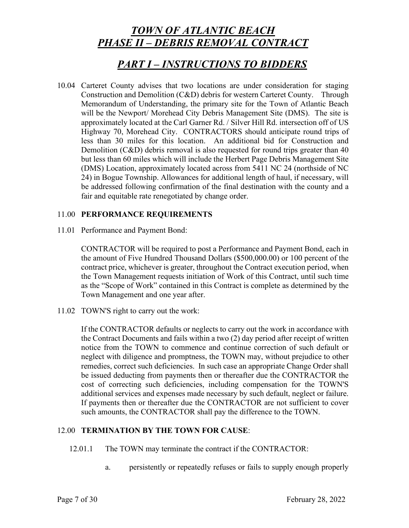#### *PART I – INSTRUCTIONS TO BIDDERS*

10.04 Carteret County advises that two locations are under consideration for staging Construction and Demolition (C&D) debris for western Carteret County. Through Memorandum of Understanding, the primary site for the Town of Atlantic Beach will be the Newport/ Morehead City Debris Management Site (DMS). The site is approximately located at the Carl Garner Rd. / Silver Hill Rd. intersection off of US Highway 70, Morehead City. CONTRACTORS should anticipate round trips of less than 30 miles for this location. An additional bid for Construction and Demolition (C&D) debris removal is also requested for round trips greater than 40 but less than 60 miles which will include the Herbert Page Debris Management Site (DMS) Location, approximately located across from 5411 NC 24 (northside of NC 24) in Bogue Township. Allowances for additional length of haul, if necessary, will be addressed following confirmation of the final destination with the county and a fair and equitable rate renegotiated by change order.

#### 11.00 **PERFORMANCE REQUIREMENTS**

11.01 Performance and Payment Bond:

CONTRACTOR will be required to post a Performance and Payment Bond, each in the amount of Five Hundred Thousand Dollars (\$500,000.00) or 100 percent of the contract price, whichever is greater, throughout the Contract execution period, when the Town Management requests initiation of Work of this Contract, until such time as the "Scope of Work" contained in this Contract is complete as determined by the Town Management and one year after.

11.02 TOWN'S right to carry out the work:

If the CONTRACTOR defaults or neglects to carry out the work in accordance with the Contract Documents and fails within a two (2) day period after receipt of written notice from the TOWN to commence and continue correction of such default or neglect with diligence and promptness, the TOWN may, without prejudice to other remedies, correct such deficiencies. In such case an appropriate Change Order shall be issued deducting from payments then or thereafter due the CONTRACTOR the cost of correcting such deficiencies, including compensation for the TOWN'S additional services and expenses made necessary by such default, neglect or failure. If payments then or thereafter due the CONTRACTOR are not sufficient to cover such amounts, the CONTRACTOR shall pay the difference to the TOWN.

#### 12.00 **TERMINATION BY THE TOWN FOR CAUSE**:

- 12.01.1 The TOWN may terminate the contract if the CONTRACTOR:
	- a. persistently or repeatedly refuses or fails to supply enough properly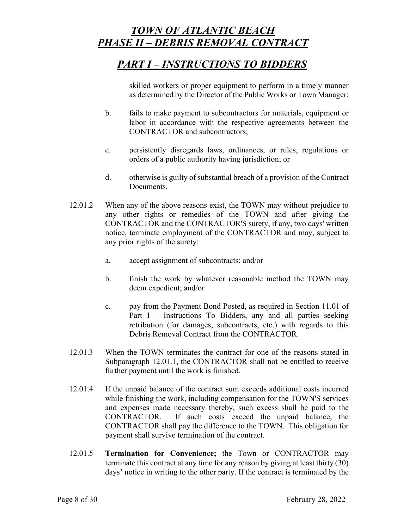# *PART I – INSTRUCTIONS TO BIDDERS*

skilled workers or proper equipment to perform in a timely manner as determined by the Director of the Public Works or Town Manager;

- b. fails to make payment to subcontractors for materials, equipment or labor in accordance with the respective agreements between the CONTRACTOR and subcontractors;
- c. persistently disregards laws, ordinances, or rules, regulations or orders of a public authority having jurisdiction; or
- d. otherwise is guilty of substantial breach of a provision of the Contract Documents.
- 12.01.2 When any of the above reasons exist, the TOWN may without prejudice to any other rights or remedies of the TOWN and after giving the CONTRACTOR and the CONTRACTOR'S surety, if any, two days' written notice, terminate employment of the CONTRACTOR and may, subject to any prior rights of the surety:
	- a. accept assignment of subcontracts; and/or
	- b. finish the work by whatever reasonable method the TOWN may deem expedient; and/or
	- c. pay from the Payment Bond Posted, as required in Section 11.01 of Part I – Instructions To Bidders, any and all parties seeking retribution (for damages, subcontracts, etc.) with regards to this Debris Removal Contract from the CONTRACTOR.
- 12.01.3 When the TOWN terminates the contract for one of the reasons stated in Subparagraph 12.01.1, the CONTRACTOR shall not be entitled to receive further payment until the work is finished.
- 12.01.4 If the unpaid balance of the contract sum exceeds additional costs incurred while finishing the work, including compensation for the TOWN'S services and expenses made necessary thereby, such excess shall be paid to the CONTRACTOR. If such costs exceed the unpaid balance, the CONTRACTOR shall pay the difference to the TOWN. This obligation for payment shall survive termination of the contract.
- 12.01.5 **Termination for Convenience;** the Town or CONTRACTOR may terminate this contract at any time for any reason by giving at least thirty (30) days' notice in writing to the other party. If the contract is terminated by the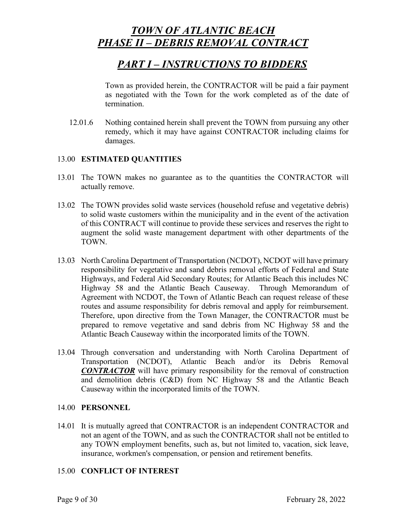### *PART I – INSTRUCTIONS TO BIDDERS*

Town as provided herein, the CONTRACTOR will be paid a fair payment as negotiated with the Town for the work completed as of the date of termination.

12.01.6 Nothing contained herein shall prevent the TOWN from pursuing any other remedy, which it may have against CONTRACTOR including claims for damages.

#### 13.00 **ESTIMATED QUANTITIES**

- 13.01 The TOWN makes no guarantee as to the quantities the CONTRACTOR will actually remove.
- 13.02 The TOWN provides solid waste services (household refuse and vegetative debris) to solid waste customers within the municipality and in the event of the activation of this CONTRACT will continue to provide these services and reserves the right to augment the solid waste management department with other departments of the TOWN.
- 13.03 North Carolina Department of Transportation (NCDOT), NCDOT will have primary responsibility for vegetative and sand debris removal efforts of Federal and State Highways, and Federal Aid Secondary Routes; for Atlantic Beach this includes NC Highway 58 and the Atlantic Beach Causeway. Through Memorandum of Agreement with NCDOT, the Town of Atlantic Beach can request release of these routes and assume responsibility for debris removal and apply for reimbursement. Therefore, upon directive from the Town Manager, the CONTRACTOR must be prepared to remove vegetative and sand debris from NC Highway 58 and the Atlantic Beach Causeway within the incorporated limits of the TOWN.
- 13.04 Through conversation and understanding with North Carolina Department of Transportation (NCDOT), Atlantic Beach and/or its Debris Removal *CONTRACTOR* will have primary responsibility for the removal of construction and demolition debris (C&D) from NC Highway 58 and the Atlantic Beach Causeway within the incorporated limits of the TOWN.

#### 14.00 **PERSONNEL**

14.01 It is mutually agreed that CONTRACTOR is an independent CONTRACTOR and not an agent of the TOWN, and as such the CONTRACTOR shall not be entitled to any TOWN employment benefits, such as, but not limited to, vacation, sick leave, insurance, workmen's compensation, or pension and retirement benefits.

#### 15.00 **CONFLICT OF INTEREST**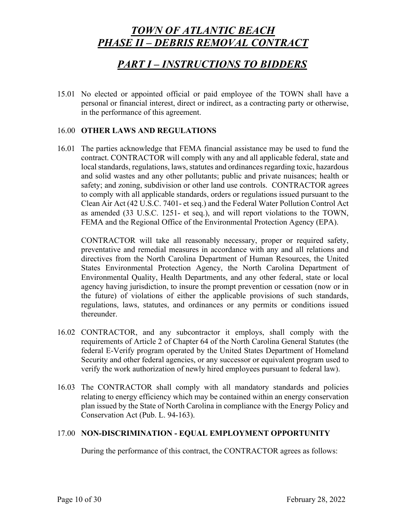## *PART I – INSTRUCTIONS TO BIDDERS*

15.01 No elected or appointed official or paid employee of the TOWN shall have a personal or financial interest, direct or indirect, as a contracting party or otherwise, in the performance of this agreement.

#### 16.00 **OTHER LAWS AND REGULATIONS**

16.01 The parties acknowledge that FEMA financial assistance may be used to fund the contract. CONTRACTOR will comply with any and all applicable federal, state and local standards, regulations, laws, statutes and ordinances regarding toxic, hazardous and solid wastes and any other pollutants; public and private nuisances; health or safety; and zoning, subdivision or other land use controls. CONTRACTOR agrees to comply with all applicable standards, orders or regulations issued pursuant to the Clean Air Act (42 U.S.C. 7401- et seq.) and the Federal Water Pollution Control Act as amended (33 U.S.C. 1251- et seq.), and will report violations to the TOWN, FEMA and the Regional Office of the Environmental Protection Agency (EPA).

CONTRACTOR will take all reasonably necessary, proper or required safety, preventative and remedial measures in accordance with any and all relations and directives from the North Carolina Department of Human Resources, the United States Environmental Protection Agency, the North Carolina Department of Environmental Quality, Health Departments, and any other federal, state or local agency having jurisdiction, to insure the prompt prevention or cessation (now or in the future) of violations of either the applicable provisions of such standards, regulations, laws, statutes, and ordinances or any permits or conditions issued thereunder.

- 16.02 CONTRACTOR, and any subcontractor it employs, shall comply with the requirements of Article 2 of Chapter 64 of the North Carolina General Statutes (the federal E-Verify program operated by the United States Department of Homeland Security and other federal agencies, or any successor or equivalent program used to verify the work authorization of newly hired employees pursuant to federal law).
- 16.03 The CONTRACTOR shall comply with all mandatory standards and policies relating to energy efficiency which may be contained within an energy conservation plan issued by the State of North Carolina in compliance with the Energy Policy and Conservation Act (Pub. L. 94-163).

#### 17.00 **NON-DISCRIMINATION - EQUAL EMPLOYMENT OPPORTUNITY**

During the performance of this contract, the CONTRACTOR agrees as follows: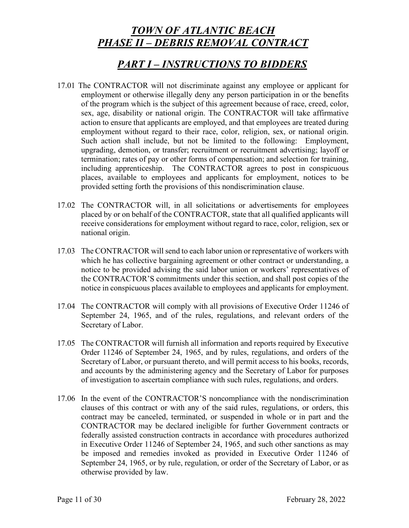### *PART I – INSTRUCTIONS TO BIDDERS*

- 17.01 The CONTRACTOR will not discriminate against any employee or applicant for employment or otherwise illegally deny any person participation in or the benefits of the program which is the subject of this agreement because of race, creed, color, sex, age, disability or national origin. The CONTRACTOR will take affirmative action to ensure that applicants are employed, and that employees are treated during employment without regard to their race, color, religion, sex, or national origin. Such action shall include, but not be limited to the following: Employment, upgrading, demotion, or transfer; recruitment or recruitment advertising; layoff or termination; rates of pay or other forms of compensation; and selection for training, including apprenticeship. The CONTRACTOR agrees to post in conspicuous places, available to employees and applicants for employment, notices to be provided setting forth the provisions of this nondiscrimination clause.
- 17.02 The CONTRACTOR will, in all solicitations or advertisements for employees placed by or on behalf of the CONTRACTOR, state that all qualified applicants will receive considerations for employment without regard to race, color, religion, sex or national origin.
- 17.03 The CONTRACTOR will send to each labor union or representative of workers with which he has collective bargaining agreement or other contract or understanding, a notice to be provided advising the said labor union or workers' representatives of the CONTRACTOR'S commitments under this section, and shall post copies of the notice in conspicuous places available to employees and applicants for employment.
- 17.04 The CONTRACTOR will comply with all provisions of Executive Order 11246 of September 24, 1965, and of the rules, regulations, and relevant orders of the Secretary of Labor.
- 17.05 The CONTRACTOR will furnish all information and reports required by Executive Order 11246 of September 24, 1965, and by rules, regulations, and orders of the Secretary of Labor, or pursuant thereto, and will permit access to his books, records, and accounts by the administering agency and the Secretary of Labor for purposes of investigation to ascertain compliance with such rules, regulations, and orders.
- 17.06 In the event of the CONTRACTOR'S noncompliance with the nondiscrimination clauses of this contract or with any of the said rules, regulations, or orders, this contract may be canceled, terminated, or suspended in whole or in part and the CONTRACTOR may be declared ineligible for further Government contracts or federally assisted construction contracts in accordance with procedures authorized in Executive Order 11246 of September 24, 1965, and such other sanctions as may be imposed and remedies invoked as provided in Executive Order 11246 of September 24, 1965, or by rule, regulation, or order of the Secretary of Labor, or as otherwise provided by law.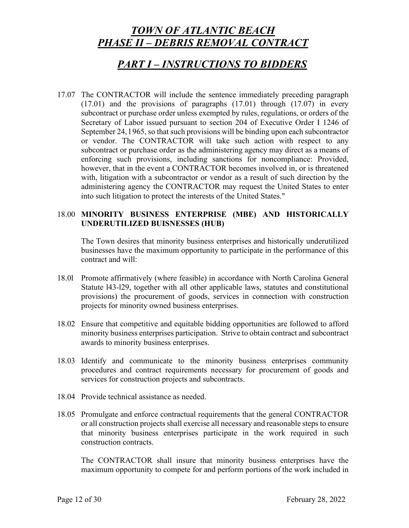#### *PART I – INSTRUCTIONS TO BIDDERS*

17.07 The CONTRACTOR will include the sentence immediately preceding paragraph (17.01) and the provisions of paragraphs (17.01) through (17.07) in every subcontract or purchase order unless exempted by rules, regulations, or orders of the Secretary of Labor issued pursuant to section 204 of Executive Order I 1246 of September 24, l 965, so that such provisions will be binding upon each subcontractor or vendor. The CONTRACTOR will take such action with respect to any subcontract or purchase order as the administering agency may direct as a means of enforcing such provisions, including sanctions for noncompliance: Provided, however, that in the event a CONTRACTOR becomes involved in, or is threatened with, litigation with a subcontractor or vendor as a result of such direction by the administering agency the CONTRACTOR may request the United States to enter into such litigation to protect the interests of the United States."

#### 18.00 **MINORITY BUSINESS ENTERPRISE (MBE) AND HISTORICALLY UNDERUTILIZED BUISNESSES (HUB)**

The Town desires that minority business enterprises and historically underutilized businesses have the maximum opportunity to participate in the performance of this contract and will:

- 18.0l Promote affirmatively (where feasible) in accordance with North Carolina General Statute l43-l29, together with all other applicable laws, statutes and constitutional provisions) the procurement of goods, services in connection with construction projects for minority owned business enterprises.
- 18.02 Ensure that competitive and equitable bidding opportunities are followed to afford minority business enterprises participation. Strive to obtain contract and subcontract awards to minority business enterprises.
- 18.03 Identify and communicate to the minority business enterprises community procedures and contract requirements necessary for procurement of goods and services for construction projects and subcontracts.
- 18.04 Provide technical assistance as needed.
- 18.05 Promulgate and enforce contractual requirements that the general CONTRACTOR or all construction projects shall exercise all necessary and reasonable steps to ensure that minority business enterprises participate in the work required in such construction contracts.

The CONTRACTOR shall insure that minority business enterprises have the maximum opportunity to compete for and perform portions of the work included in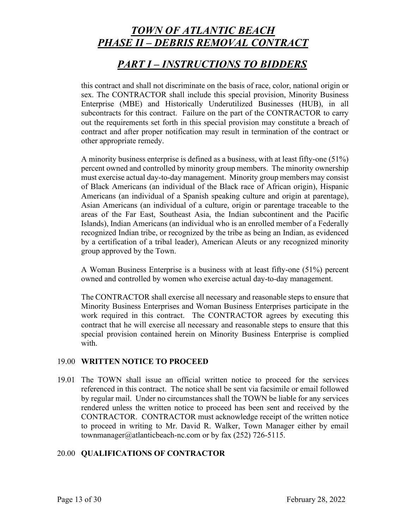#### *PART I – INSTRUCTIONS TO BIDDERS*

this contract and shall not discriminate on the basis of race, color, national origin or sex. The CONTRACTOR shall include this special provision, Minority Business Enterprise (MBE) and Historically Underutilized Businesses (HUB), in all subcontracts for this contract. Failure on the part of the CONTRACTOR to carry out the requirements set forth in this special provision may constitute a breach of contract and after proper notification may result in termination of the contract or other appropriate remedy.

A minority business enterprise is defined as a business, with at least fifty-one (51%) percent owned and controlled by minority group members. The minority ownership must exercise actual day-to-day management. Minority group members may consist of Black Americans (an individual of the Black race of African origin), Hispanic Americans (an individual of a Spanish speaking culture and origin at parentage), Asian Americans (an individual of a culture, origin or parentage traceable to the areas of the Far East, Southeast Asia, the Indian subcontinent and the Pacific Islands), Indian Americans (an individual who is an enrolled member of a Federally recognized Indian tribe, or recognized by the tribe as being an Indian, as evidenced by a certification of a tribal leader), American Aleuts or any recognized minority group approved by the Town.

A Woman Business Enterprise is a business with at least fifty-one (51%) percent owned and controlled by women who exercise actual day-to-day management.

The CONTRACTOR shall exercise all necessary and reasonable steps to ensure that Minority Business Enterprises and Woman Business Enterprises participate in the work required in this contract. The CONTRACTOR agrees by executing this contract that he will exercise all necessary and reasonable steps to ensure that this special provision contained herein on Minority Business Enterprise is complied with.

#### 19.00 **WRITTEN NOTICE TO PROCEED**

19.01 The TOWN shall issue an official written notice to proceed for the services referenced in this contract. The notice shall be sent via facsimile or email followed by regular mail. Under no circumstances shall the TOWN be liable for any services rendered unless the written notice to proceed has been sent and received by the CONTRACTOR. CONTRACTOR must acknowledge receipt of the written notice to proceed in writing to Mr. David R. Walker, Town Manager either by email townmanager@atlanticbeach-nc.com or by fax (252) 726-5115.

#### 20.00 **QUALIFICATIONS OF CONTRACTOR**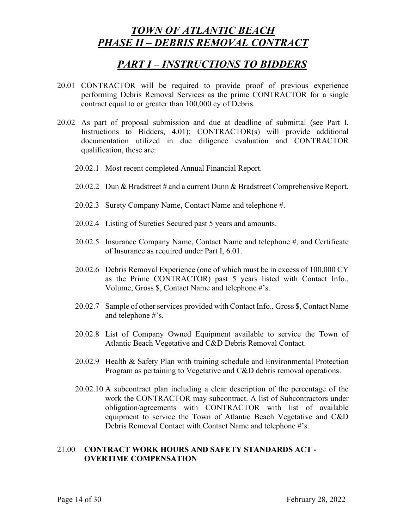#### *PART I – INSTRUCTIONS TO BIDDERS*

- 20.01 CONTRACTOR will be required to provide proof of previous experience performing Debris Removal Services as the prime CONTRACTOR for a single contract equal to or greater than 100,000 cy of Debris.
- 20.02 As part of proposal submission and due at deadline of submittal (see Part I, Instructions to Bidders, 4.01); CONTRACTOR(s) will provide additional documentation utilized in due diligence evaluation and CONTRACTOR qualification, these are:
	- 20.02.1 Most recent completed Annual Financial Report.
	- 20.02.2 Dun & Bradstreet # and a current Dunn & Bradstreet Comprehensive Report.
	- 20.02.3 Surety Company Name, Contact Name and telephone #.
	- 20.02.4 Listing of Sureties Secured past 5 years and amounts.
	- 20.02.5 Insurance Company Name, Contact Name and telephone #, and Certificate of Insurance as required under Part I, 6.01.
	- 20.02.6 Debris Removal Experience (one of which must be in excess of 100,000 CY as the Prime CONTRACTOR) past 5 years listed with Contact Info., Volume, Gross \$, Contact Name and telephone #'s.
	- 20.02.7 Sample of other services provided with Contact Info., Gross \$, Contact Name and telephone #'s.
	- 20.02.8 List of Company Owned Equipment available to service the Town of Atlantic Beach Vegetative and C&D Debris Removal Contact.
	- 20.02.9 Health & Safety Plan with training schedule and Environmental Protection Program as pertaining to Vegetative and C&D debris removal operations.
	- 20.02.10 A subcontract plan including a clear description of the percentage of the work the CONTRACTOR may subcontract. A list of Subcontractors under obligation/agreements with CONTRACTOR with list of available equipment to service the Town of Atlantic Beach Vegetative and C&D Debris Removal Contact with Contact Name and telephone #'s.

#### 21.00 **CONTRACT WORK HOURS AND SAFETY STANDARDS ACT - OVERTIME COMPENSATION**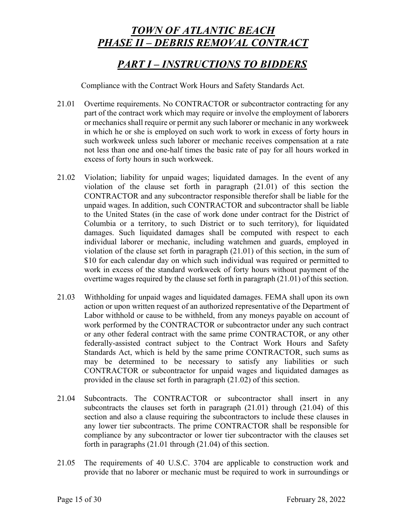# *PART I – INSTRUCTIONS TO BIDDERS*

Compliance with the Contract Work Hours and Safety Standards Act.

- 21.01 Overtime requirements. No CONTRACTOR or subcontractor contracting for any part of the contract work which may require or involve the employment of laborers or mechanics shall require or permit any such laborer or mechanic in any workweek in which he or she is employed on such work to work in excess of forty hours in such workweek unless such laborer or mechanic receives compensation at a rate not less than one and one-half times the basic rate of pay for all hours worked in excess of forty hours in such workweek.
- 21.02 Violation; liability for unpaid wages; liquidated damages. In the event of any violation of the clause set forth in paragraph (21.01) of this section the CONTRACTOR and any subcontractor responsible therefor shall be liable for the unpaid wages. In addition, such CONTRACTOR and subcontractor shall be liable to the United States (in the case of work done under contract for the District of Columbia or a territory, to such District or to such territory), for liquidated damages. Such liquidated damages shall be computed with respect to each individual laborer or mechanic, including watchmen and guards, employed in violation of the clause set forth in paragraph (21.01) of this section, in the sum of \$10 for each calendar day on which such individual was required or permitted to work in excess of the standard workweek of forty hours without payment of the overtime wages required by the clause set forth in paragraph (21.01) of this section.
- 21.03 Withholding for unpaid wages and liquidated damages. FEMA shall upon its own action or upon written request of an authorized representative of the Department of Labor withhold or cause to be withheld, from any moneys payable on account of work performed by the CONTRACTOR or subcontractor under any such contract or any other federal contract with the same prime CONTRACTOR, or any other federally-assisted contract subject to the Contract Work Hours and Safety Standards Act, which is held by the same prime CONTRACTOR, such sums as may be determined to be necessary to satisfy any liabilities or such CONTRACTOR or subcontractor for unpaid wages and liquidated damages as provided in the clause set forth in paragraph (21.02) of this section.
- 21.04 Subcontracts. The CONTRACTOR or subcontractor shall insert in any subcontracts the clauses set forth in paragraph (21.01) through (21.04) of this section and also a clause requiring the subcontractors to include these clauses in any lower tier subcontracts. The prime CONTRACTOR shall be responsible for compliance by any subcontractor or lower tier subcontractor with the clauses set forth in paragraphs (21.01 through (21.04) of this section.
- 21.05 The requirements of 40 U.S.C. 3704 are applicable to construction work and provide that no laborer or mechanic must be required to work in surroundings or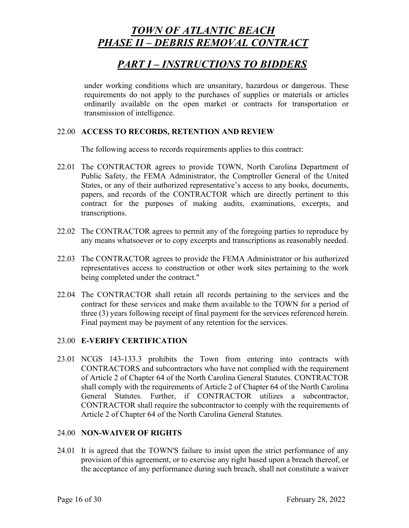## *PART I – INSTRUCTIONS TO BIDDERS*

under working conditions which are unsanitary, hazardous or dangerous. These requirements do not apply to the purchases of supplies or materials or articles ordinarily available on the open market or contracts for transportation or transmission of intelligence.

#### 22.00 **ACCESS TO RECORDS, RETENTION AND REVIEW**

The following access to records requirements applies to this contract:

- 22.01 The CONTRACTOR agrees to provide TOWN, North Carolina Department of Public Safety, the FEMA Administrator, the Comptroller General of the United States, or any of their authorized representative's access to any books, documents, papers, and records of the CONTRACTOR which are directly pertinent to this contract for the purposes of making audits, examinations, excerpts, and transcriptions.
- 22.02 The CONTRACTOR agrees to permit any of the foregoing parties to reproduce by any means whatsoever or to copy excerpts and transcriptions as reasonably needed.
- 22.03 The CONTRACTOR agrees to provide the FEMA Administrator or his authorized representatives access to construction or other work sites pertaining to the work being completed under the contract."
- 22.04 The CONTRACTOR shall retain all records pertaining to the services and the contract for these services and make them available to the TOWN for a period of three (3) years following receipt of final payment for the services referenced herein. Final payment may be payment of any retention for the services.

#### 23.00 **E-VERIFY CERTIFICATION**

23.01 NCGS 143-133.3 prohibits the Town from entering into contracts with CONTRACTORS and subcontractors who have not complied with the requirement of Article 2 of Chapter 64 of the North Carolina General Statutes. CONTRACTOR shall comply with the requirements of Article 2 of Chapter 64 of the North Carolina General Statutes. Further, if CONTRACTOR utilizes a subcontractor, CONTRACTOR shall require the subcontractor to comply with the requirements of Article 2 of Chapter 64 of the North Carolina General Statutes.

#### 24.00 **NON-WAIVER OF RIGHTS**

24.01 It is agreed that the TOWN'S failure to insist upon the strict performance of any provision of this agreement, or to exercise any right based upon a breach thereof, or the acceptance of any performance during such breach, shall not constitute a waiver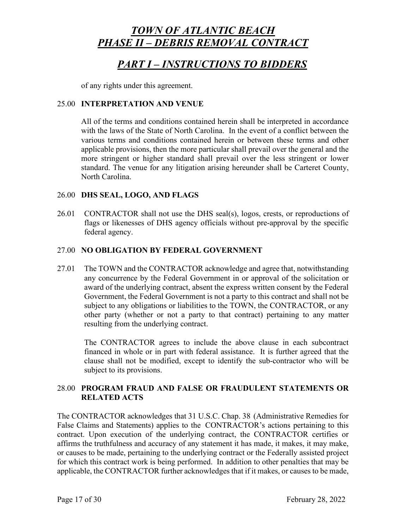# *PART I – INSTRUCTIONS TO BIDDERS*

of any rights under this agreement.

#### 25.00 **INTERPRETATION AND VENUE**

All of the terms and conditions contained herein shall be interpreted in accordance with the laws of the State of North Carolina. In the event of a conflict between the various terms and conditions contained herein or between these terms and other applicable provisions, then the more particular shall prevail over the general and the more stringent or higher standard shall prevail over the less stringent or lower standard. The venue for any litigation arising hereunder shall be Carteret County, North Carolina.

#### 26.00 **DHS SEAL, LOGO, AND FLAGS**

26.01 CONTRACTOR shall not use the DHS seal(s), logos, crests, or reproductions of flags or likenesses of DHS agency officials without pre-approval by the specific federal agency.

#### 27.00 **NO OBLIGATION BY FEDERAL GOVERNMENT**

27.01 The TOWN and the CONTRACTOR acknowledge and agree that, notwithstanding any concurrence by the Federal Government in or approval of the solicitation or award of the underlying contract, absent the express written consent by the Federal Government, the Federal Government is not a party to this contract and shall not be subject to any obligations or liabilities to the TOWN, the CONTRACTOR, or any other party (whether or not a party to that contract) pertaining to any matter resulting from the underlying contract.

The CONTRACTOR agrees to include the above clause in each subcontract financed in whole or in part with federal assistance. It is further agreed that the clause shall not be modified, except to identify the sub-contractor who will be subject to its provisions.

#### 28.00 **PROGRAM FRAUD AND FALSE OR FRAUDULENT STATEMENTS OR RELATED ACTS**

The CONTRACTOR acknowledges that 31 U.S.C. Chap. 38 (Administrative Remedies for False Claims and Statements) applies to the CONTRACTOR's actions pertaining to this contract. Upon execution of the underlying contract, the CONTRACTOR certifies or affirms the truthfulness and accuracy of any statement it has made, it makes, it may make, or causes to be made, pertaining to the underlying contract or the Federally assisted project for which this contract work is being performed. In addition to other penalties that may be applicable, the CONTRACTOR further acknowledges that if it makes, or causes to be made,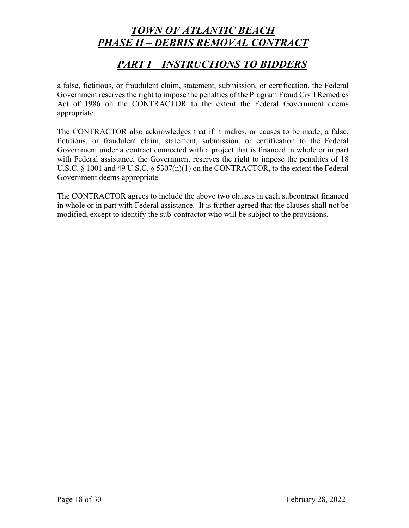# *PART I – INSTRUCTIONS TO BIDDERS*

a false, fictitious, or fraudulent claim, statement, submission, or certification, the Federal Government reserves the right to impose the penalties of the Program Fraud Civil Remedies Act of 1986 on the CONTRACTOR to the extent the Federal Government deems appropriate.

The CONTRACTOR also acknowledges that if it makes, or causes to be made, a false, fictitious, or fraudulent claim, statement, submission, or certification to the Federal Government under a contract connected with a project that is financed in whole or in part with Federal assistance, the Government reserves the right to impose the penalties of 18 U.S.C. § 1001 and 49 U.S.C. § 5307(n)(1) on the CONTRACTOR, to the extent the Federal Government deems appropriate.

The CONTRACTOR agrees to include the above two clauses in each subcontract financed in whole or in part with Federal assistance. It is further agreed that the clauses shall not be modified, except to identify the sub-contractor who will be subject to the provisions.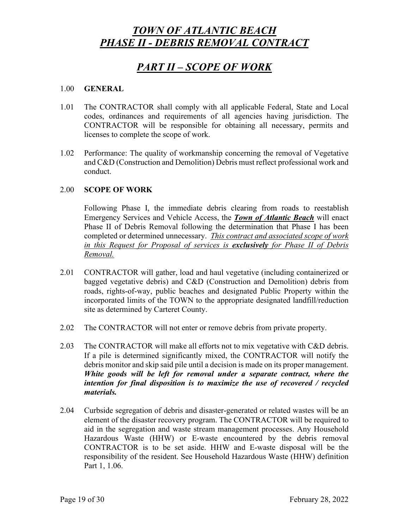# *PART II – SCOPE OF WORK*

#### 1.00 **GENERAL**

- 1.01 The CONTRACTOR shall comply with all applicable Federal, State and Local codes, ordinances and requirements of all agencies having jurisdiction. The CONTRACTOR will be responsible for obtaining all necessary, permits and licenses to complete the scope of work.
- 1.02 Performance: The quality of workmanship concerning the removal of Vegetative and C&D (Construction and Demolition) Debris must reflect professional work and conduct.

#### 2.00 **SCOPE OF WORK**

Following Phase I, the immediate debris clearing from roads to reestablish Emergency Services and Vehicle Access, the *Town of Atlantic Beach* will enact Phase II of Debris Removal following the determination that Phase I has been completed or determined unnecessary. *This contract and associated scope of work in this Request for Proposal of services is exclusively for Phase II of Debris Removal.*

- 2.01 CONTRACTOR will gather, load and haul vegetative (including containerized or bagged vegetative debris) and C&D (Construction and Demolition) debris from roads, rights-of-way, public beaches and designated Public Property within the incorporated limits of the TOWN to the appropriate designated landfill/reduction site as determined by Carteret County.
- 2.02 The CONTRACTOR will not enter or remove debris from private property.
- 2.03 The CONTRACTOR will make all efforts not to mix vegetative with C&D debris. If a pile is determined significantly mixed, the CONTRACTOR will notify the debris monitor and skip said pile until a decision is made on its proper management. *White goods will be left for removal under a separate contract, where the intention for final disposition is to maximize the use of recovered / recycled materials.*
- 2.04 Curbside segregation of debris and disaster-generated or related wastes will be an element of the disaster recovery program. The CONTRACTOR will be required to aid in the segregation and waste stream management processes. Any Household Hazardous Waste (HHW) or E-waste encountered by the debris removal CONTRACTOR is to be set aside. HHW and E-waste disposal will be the responsibility of the resident. See Household Hazardous Waste (HHW) definition Part 1, 1.06.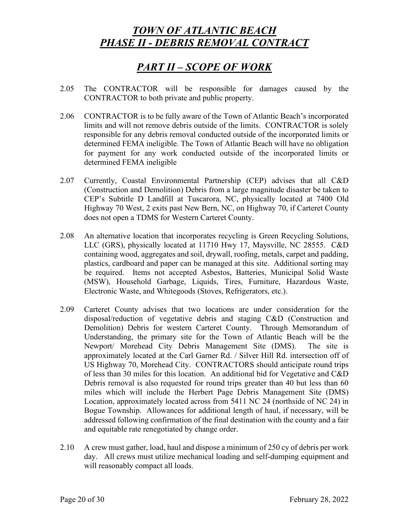# *PART II – SCOPE OF WORK*

- 2.05 The CONTRACTOR will be responsible for damages caused by the CONTRACTOR to both private and public property.
- 2.06 CONTRACTOR is to be fully aware of the Town of Atlantic Beach's incorporated limits and will not remove debris outside of the limits. CONTRACTOR is solely responsible for any debris removal conducted outside of the incorporated limits or determined FEMA ineligible. The Town of Atlantic Beach will have no obligation for payment for any work conducted outside of the incorporated limits or determined FEMA ineligible
- 2.07 Currently, Coastal Environmental Partnership (CEP) advises that all C&D (Construction and Demolition) Debris from a large magnitude disaster be taken to CEP's Subtitle D Landfill at Tuscarora, NC, physically located at 7400 Old Highway 70 West, 2 exits past New Bern, NC, on Highway 70, if Carteret County does not open a TDMS for Western Carteret County.
- 2.08 An alternative location that incorporates recycling is Green Recycling Solutions, LLC (GRS), physically located at 11710 Hwy 17, Maysville, NC 28555. C&D containing wood, aggregates and soil, drywall, roofing, metals, carpet and padding, plastics, cardboard and paper can be managed at this site. Additional sorting may be required. Items not accepted Asbestos, Batteries, Municipal Solid Waste (MSW), Household Garbage, Liquids, Tires, Furniture, Hazardous Waste, Electronic Waste, and Whitegoods (Stoves, Refrigerators, etc.).
- 2.09 Carteret County advises that two locations are under consideration for the disposal/reduction of vegetative debris and staging C&D (Construction and Demolition) Debris for western Carteret County. Through Memorandum of Understanding, the primary site for the Town of Atlantic Beach will be the Newport/ Morehead City Debris Management Site (DMS). The site is approximately located at the Carl Garner Rd. / Silver Hill Rd. intersection off of US Highway 70, Morehead City. CONTRACTORS should anticipate round trips of less than 30 miles for this location. An additional bid for Vegetative and C&D Debris removal is also requested for round trips greater than 40 but less than 60 miles which will include the Herbert Page Debris Management Site (DMS) Location, approximately located across from 5411 NC 24 (northside of NC 24) in Bogue Township. Allowances for additional length of haul, if necessary, will be addressed following confirmation of the final destination with the county and a fair and equitable rate renegotiated by change order.
- 2.10 A crew must gather, load, haul and dispose a minimum of 250 cy of debris per work day. All crews must utilize mechanical loading and self-dumping equipment and will reasonably compact all loads.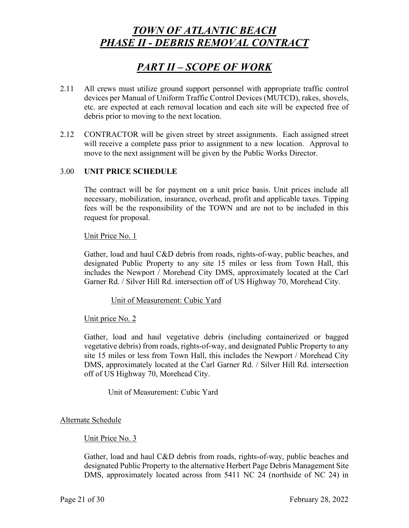# *PART II – SCOPE OF WORK*

- 2.11 All crews must utilize ground support personnel with appropriate traffic control devices per Manual of Uniform Traffic Control Devices (MUTCD), rakes, shovels, etc. are expected at each removal location and each site will be expected free of debris prior to moving to the next location.
- 2.12 CONTRACTOR will be given street by street assignments. Each assigned street will receive a complete pass prior to assignment to a new location. Approval to move to the next assignment will be given by the Public Works Director.

#### 3.00 **UNIT PRICE SCHEDULE**

The contract will be for payment on a unit price basis. Unit prices include all necessary, mobilization, insurance, overhead, profit and applicable taxes. Tipping fees will be the responsibility of the TOWN and are not to be included in this request for proposal.

Unit Price No. 1

Gather, load and haul C&D debris from roads, rights-of-way, public beaches, and designated Public Property to any site 15 miles or less from Town Hall, this includes the Newport / Morehead City DMS, approximately located at the Carl Garner Rd. / Silver Hill Rd. intersection off of US Highway 70, Morehead City.

Unit of Measurement: Cubic Yard

Unit price No. 2

Gather, load and haul vegetative debris (including containerized or bagged vegetative debris) from roads, rights-of-way, and designated Public Property to any site 15 miles or less from Town Hall, this includes the Newport / Morehead City DMS, approximately located at the Carl Garner Rd. / Silver Hill Rd. intersection off of US Highway 70, Morehead City.

Unit of Measurement: Cubic Yard

Alternate Schedule

#### Unit Price No. 3

Gather, load and haul C&D debris from roads, rights-of-way, public beaches and designated Public Property to the alternative Herbert Page Debris Management Site DMS, approximately located across from 5411 NC 24 (northside of NC 24) in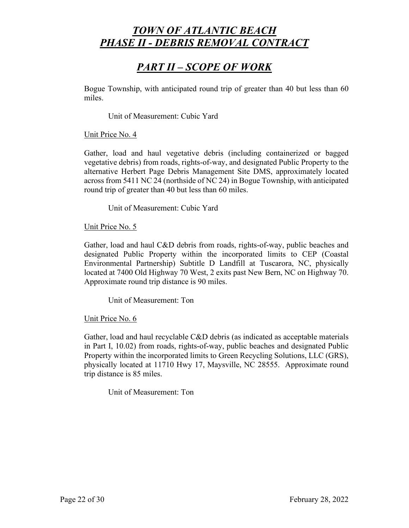# *PART II – SCOPE OF WORK*

Bogue Township, with anticipated round trip of greater than 40 but less than 60 miles.

Unit of Measurement: Cubic Yard

Unit Price No. 4

Gather, load and haul vegetative debris (including containerized or bagged vegetative debris) from roads, rights-of-way, and designated Public Property to the alternative Herbert Page Debris Management Site DMS, approximately located across from 5411 NC 24 (northside of NC 24) in Bogue Township, with anticipated round trip of greater than 40 but less than 60 miles.

Unit of Measurement: Cubic Yard

Unit Price No. 5

Gather, load and haul C&D debris from roads, rights-of-way, public beaches and designated Public Property within the incorporated limits to CEP (Coastal Environmental Partnership) Subtitle D Landfill at Tuscarora, NC, physically located at 7400 Old Highway 70 West, 2 exits past New Bern, NC on Highway 70. Approximate round trip distance is 90 miles.

Unit of Measurement: Ton

Unit Price No. 6

Gather, load and haul recyclable C&D debris (as indicated as acceptable materials in Part I, 10.02) from roads, rights-of-way, public beaches and designated Public Property within the incorporated limits to Green Recycling Solutions, LLC (GRS), physically located at 11710 Hwy 17, Maysville, NC 28555. Approximate round trip distance is 85 miles.

Unit of Measurement: Ton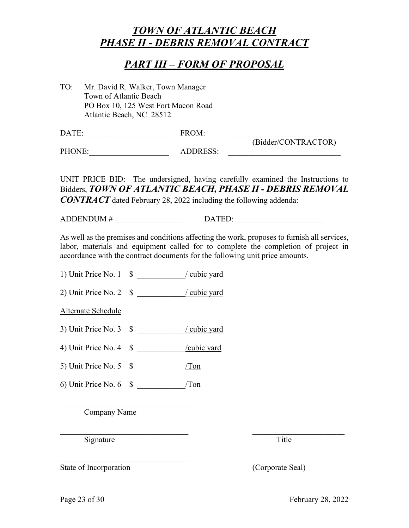# *PART III – FORM OF PROPOSAL*

TO: Mr. David R. Walker, Town Manager Town of Atlantic Beach PO Box 10, 125 West Fort Macon Road Atlantic Beach, NC 28512

DATE: \_\_\_\_\_\_\_\_\_\_\_\_\_\_\_\_\_\_\_\_\_ FROM: \_\_\_\_\_\_\_\_\_\_\_\_\_\_\_\_\_\_\_\_\_\_\_\_\_\_\_\_

(Bidder/CONTRACTOR) PHONE: ADDRESS:

UNIT PRICE BID: The undersigned, having carefully examined the Instructions to Bidders, *TOWN OF ATLANTIC BEACH, PHASE II - DEBRIS REMOVAL* 

*CONTRACT* dated February 28, 2022 including the following addenda:

 $ADDENDUM # \nightharpoonup$  DATED:

As well as the premises and conditions affecting the work, proposes to furnish all services, labor, materials and equipment called for to complete the completion of project in accordance with the contract documents for the following unit price amounts.

1) Unit Price No. 1  $\quad$   $\frac{\sqrt{cubic \cdot 1}}{2}$ 

2) Unit Price No. 2  $\quad \text{\&}$ 

Alternate Schedule

3) Unit Price No. 3  $\quad$   $\frac{\sqrt{cubic \cdot y}}{2}$ 

4) Unit Price No. 4 \$ \_\_\_\_\_\_\_\_\_\_\_\_/cubic yard

5) Unit Price No. 5  $\frac{1}{2}$ 

6) Unit Price No. 6 \$ \_\_\_\_\_\_\_\_\_\_\_\_/Ton

 $\overline{\phantom{a}}$  , and the set of the set of the set of the set of the set of the set of the set of the set of the set of the set of the set of the set of the set of the set of the set of the set of the set of the set of the s

\_\_\_\_\_\_\_\_\_\_\_\_\_\_\_\_\_\_\_\_\_\_\_\_\_\_\_\_\_\_\_\_

Company Name

Signature Title

\_\_\_\_\_\_\_\_\_\_\_\_\_\_\_\_\_\_\_\_\_\_\_\_\_\_\_\_\_\_\_\_ \_\_\_\_\_\_\_\_\_\_\_\_\_\_\_\_\_\_\_\_\_\_\_

 $\mathcal{L}_\mathcal{L}$  , which is a set of the set of the set of the set of the set of the set of the set of the set of the set of the set of the set of the set of the set of the set of the set of the set of the set of the set of

State of Incorporation (Corporate Seal)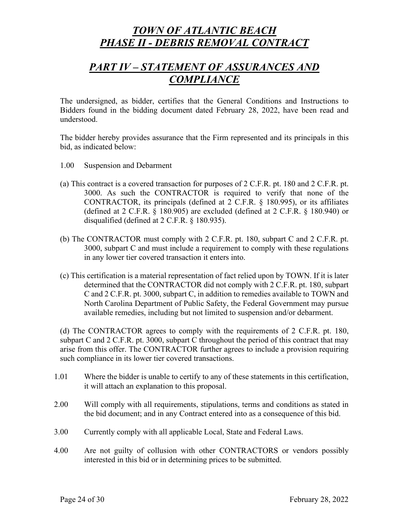# *PART IV – STATEMENT OF ASSURANCES AND COMPLIANCE*

The undersigned, as bidder, certifies that the General Conditions and Instructions to Bidders found in the bidding document dated February 28, 2022, have been read and understood.

The bidder hereby provides assurance that the Firm represented and its principals in this bid, as indicated below:

- 1.00 Suspension and Debarment
- (a) This contract is a covered transaction for purposes of 2 C.F.R. pt. 180 and 2 C.F.R. pt. 3000. As such the CONTRACTOR is required to verify that none of the CONTRACTOR, its principals (defined at 2 C.F.R. § 180.995), or its affiliates (defined at 2 C.F.R. § 180.905) are excluded (defined at 2 C.F.R. § 180.940) or disqualified (defined at 2 C.F.R. § 180.935).
- (b) The CONTRACTOR must comply with 2 C.F.R. pt. 180, subpart C and 2 C.F.R. pt. 3000, subpart C and must include a requirement to comply with these regulations in any lower tier covered transaction it enters into.
- (c) This certification is a material representation of fact relied upon by TOWN. If it is later determined that the CONTRACTOR did not comply with 2 C.F.R. pt. 180, subpart C and 2 C.F.R. pt. 3000, subpart C, in addition to remedies available to TOWN and North Carolina Department of Public Safety, the Federal Government may pursue available remedies, including but not limited to suspension and/or debarment.

(d) The CONTRACTOR agrees to comply with the requirements of 2 C.F.R. pt. 180, subpart C and 2 C.F.R. pt. 3000, subpart C throughout the period of this contract that may arise from this offer. The CONTRACTOR further agrees to include a provision requiring such compliance in its lower tier covered transactions.

- 1.01 Where the bidder is unable to certify to any of these statements in this certification, it will attach an explanation to this proposal.
- 2.00 Will comply with all requirements, stipulations, terms and conditions as stated in the bid document; and in any Contract entered into as a consequence of this bid.
- 3.00 Currently comply with all applicable Local, State and Federal Laws.
- 4.00 Are not guilty of collusion with other CONTRACTORS or vendors possibly interested in this bid or in determining prices to be submitted.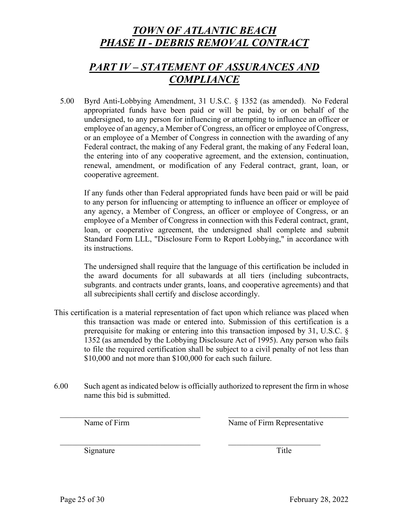# *PART IV – STATEMENT OF ASSURANCES AND COMPLIANCE*

5.00 Byrd Anti-Lobbying Amendment, 31 U.S.C. § 1352 (as amended). No Federal appropriated funds have been paid or will be paid, by or on behalf of the undersigned, to any person for influencing or attempting to influence an officer or employee of an agency, a Member of Congress, an officer or employee of Congress, or an employee of a Member of Congress in connection with the awarding of any Federal contract, the making of any Federal grant, the making of any Federal loan, the entering into of any cooperative agreement, and the extension, continuation, renewal, amendment, or modification of any Federal contract, grant, loan, or cooperative agreement.

If any funds other than Federal appropriated funds have been paid or will be paid to any person for influencing or attempting to influence an officer or employee of any agency, a Member of Congress, an officer or employee of Congress, or an employee of a Member of Congress in connection with this Federal contract, grant, loan, or cooperative agreement, the undersigned shall complete and submit Standard Form LLL, "Disclosure Form to Report Lobbying," in accordance with its instructions.

The undersigned shall require that the language of this certification be included in the award documents for all subawards at all tiers (including subcontracts, subgrants. and contracts under grants, loans, and cooperative agreements) and that all subrecipients shall certify and disclose accordingly.

- This certification is a material representation of fact upon which reliance was placed when this transaction was made or entered into. Submission of this certification is a prerequisite for making or entering into this transaction imposed by 31, U.S.C. § 1352 (as amended by the Lobbying Disclosure Act of 1995). Any person who fails to file the required certification shall be subject to a civil penalty of not less than \$10,000 and not more than \$100,000 for each such failure.
- 6.00 Such agent as indicated below is officially authorized to represent the firm in whose name this bid is submitted.

 $\_$  , and the set of the set of the set of the set of the set of the set of the set of the set of the set of the set of the set of the set of the set of the set of the set of the set of the set of the set of the set of th

Name of Firm Name of Firm Representative

Signature Title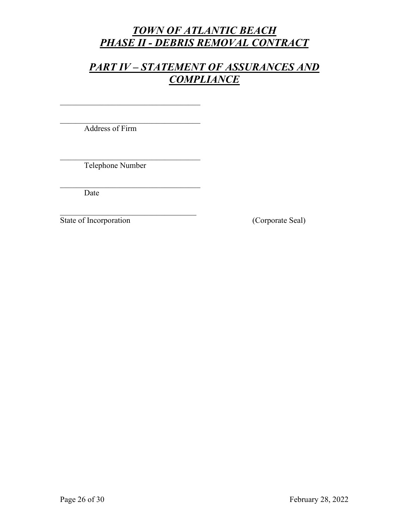# *PART IV – STATEMENT OF ASSURANCES AND COMPLIANCE*

 $\overline{\phantom{a}}$  , and the set of the set of the set of the set of the set of the set of the set of the set of the set of the set of the set of the set of the set of the set of the set of the set of the set of the set of the s Address of Firm

 $\overline{\phantom{a}}$  , and the set of the set of the set of the set of the set of the set of the set of the set of the set of the set of the set of the set of the set of the set of the set of the set of the set of the set of the s

 $\overline{\phantom{a}}$  , and the set of the set of the set of the set of the set of the set of the set of the set of the set of the set of the set of the set of the set of the set of the set of the set of the set of the set of the s Telephone Number

 $\overline{\phantom{a}}$  , and the set of the set of the set of the set of the set of the set of the set of the set of the set of the set of the set of the set of the set of the set of the set of the set of the set of the set of the s

Date

State of Incorporation (Corporate Seal)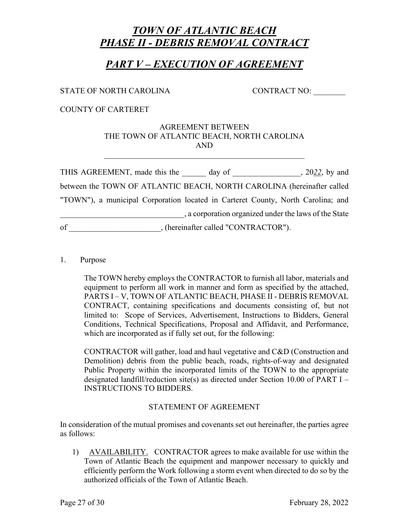## *PART V – EXECUTION OF AGREEMENT*

#### STATE OF NORTH CAROLINA CONTRACT NO:

COUNTY OF CARTERET

#### AGREEMENT BETWEEN THE TOWN OF ATLANTIC BEACH, NORTH CAROLINA AND

| THIS AGREEMENT, made this the                                                    | day of                               | $, 2022,$ by and                                      |
|----------------------------------------------------------------------------------|--------------------------------------|-------------------------------------------------------|
| between the TOWN OF ATLANTIC BEACH, NORTH CAROLINA (hereinafter called           |                                      |                                                       |
| "TOWN"), a municipal Corporation located in Carteret County, North Carolina; and |                                      |                                                       |
|                                                                                  |                                      | , a corporation organized under the laws of the State |
| of                                                                               | , (hereinafter called "CONTRACTOR"). |                                                       |

#### 1. Purpose

The TOWN hereby employs the CONTRACTOR to furnish all labor, materials and equipment to perform all work in manner and form as specified by the attached, PARTS I – V, TOWN OF ATLANTIC BEACH, PHASE II - DEBRIS REMOVAL CONTRACT, containing specifications and documents consisting of, but not limited to: Scope of Services, Advertisement, Instructions to Bidders, General Conditions, Technical Specifications, Proposal and Affidavit, and Performance, which are incorporated as if fully set out, for the following:

CONTRACTOR will gather, load and haul vegetative and C&D (Construction and Demolition) debris from the public beach, roads, rights-of-way and designated Public Property within the incorporated limits of the TOWN to the appropriate designated landfill/reduction site(s) as directed under Section 10.00 of PART I – INSTRUCTIONS TO BIDDERS.

#### STATEMENT OF AGREEMENT

In consideration of the mutual promises and covenants set out hereinafter, the parties agree as follows:

1) AVAILABILITY. CONTRACTOR agrees to make available for use within the Town of Atlantic Beach the equipment and manpower necessary to quickly and efficiently perform the Work following a storm event when directed to do so by the authorized officials of the Town of Atlantic Beach.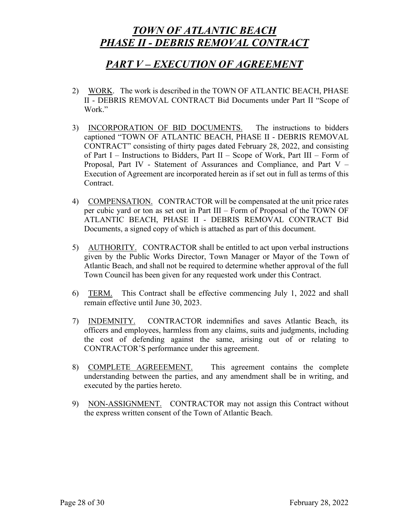## *PART V – EXECUTION OF AGREEMENT*

- 2) WORK. The work is described in the TOWN OF ATLANTIC BEACH, PHASE II - DEBRIS REMOVAL CONTRACT Bid Documents under Part II "Scope of Work."
- 3) INCORPORATION OF BID DOCUMENTS. The instructions to bidders captioned "TOWN OF ATLANTIC BEACH, PHASE II - DEBRIS REMOVAL CONTRACT" consisting of thirty pages dated February 28, 2022, and consisting of Part I – Instructions to Bidders, Part II – Scope of Work, Part III – Form of Proposal, Part IV - Statement of Assurances and Compliance, and Part V – Execution of Agreement are incorporated herein as if set out in full as terms of this Contract.
- 4) COMPENSATION. CONTRACTOR will be compensated at the unit price rates per cubic yard or ton as set out in Part III – Form of Proposal of the TOWN OF ATLANTIC BEACH, PHASE II - DEBRIS REMOVAL CONTRACT Bid Documents, a signed copy of which is attached as part of this document.
- 5) AUTHORITY. CONTRACTOR shall be entitled to act upon verbal instructions given by the Public Works Director, Town Manager or Mayor of the Town of Atlantic Beach, and shall not be required to determine whether approval of the full Town Council has been given for any requested work under this Contract.
- 6) TERM. This Contract shall be effective commencing July 1, 2022 and shall remain effective until June 30, 2023.
- 7) INDEMNITY. CONTRACTOR indemnifies and saves Atlantic Beach, its officers and employees, harmless from any claims, suits and judgments, including the cost of defending against the same, arising out of or relating to CONTRACTOR'S performance under this agreement.
- 8) COMPLETE AGREEEMENT. This agreement contains the complete understanding between the parties, and any amendment shall be in writing, and executed by the parties hereto.
- 9) NON-ASSIGNMENT. CONTRACTOR may not assign this Contract without the express written consent of the Town of Atlantic Beach.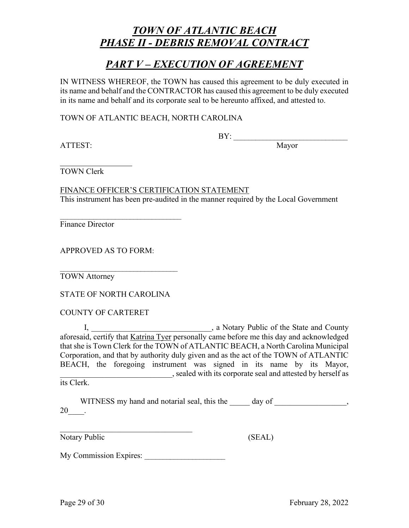## *PART V – EXECUTION OF AGREEMENT*

IN WITNESS WHEREOF, the TOWN has caused this agreement to be duly executed in its name and behalf and the CONTRACTOR has caused this agreement to be duly executed in its name and behalf and its corporate seal to be hereunto affixed, and attested to.

TOWN OF ATLANTIC BEACH, NORTH CAROLINA

ATTEST: Mayor

 $\text{BY:}\qquad \qquad$ 

TOWN Clerk

FINANCE OFFICER'S CERTIFICATION STATEMENT This instrument has been pre-audited in the manner required by the Local Government

Finance Director

APPROVED AS TO FORM:

 $\overline{\phantom{a}}$  , where  $\overline{\phantom{a}}$  , where  $\overline{\phantom{a}}$  ,  $\overline{\phantom{a}}$  ,  $\overline{\phantom{a}}$  ,  $\overline{\phantom{a}}$  ,  $\overline{\phantom{a}}$  ,  $\overline{\phantom{a}}$  ,  $\overline{\phantom{a}}$  ,  $\overline{\phantom{a}}$  ,  $\overline{\phantom{a}}$  ,  $\overline{\phantom{a}}$  ,  $\overline{\phantom{a}}$  ,  $\overline{\phantom{a}}$  ,  $\overline{\phantom{a}}$  ,

TOWN Attorney

STATE OF NORTH CAROLINA

\_\_\_\_\_\_\_\_\_\_\_\_\_\_\_\_\_\_\_\_\_\_\_\_\_\_\_\_\_\_\_\_

COUNTY OF CARTERET

I, \_\_\_\_\_\_\_\_\_\_\_\_\_\_\_\_\_\_\_\_\_\_\_\_\_\_\_\_\_\_\_\_, a Notary Public of the State and County aforesaid, certify that Katrina Tyer personally came before me this day and acknowledged that she is Town Clerk for the TOWN of ATLANTIC BEACH, a North Carolina Municipal Corporation, and that by authority duly given and as the act of the TOWN of ATLANTIC BEACH, the foregoing instrument was signed in its name by its Mayor, \_\_\_\_\_\_\_\_\_\_\_\_\_\_\_\_\_\_\_\_\_\_\_\_\_\_\_\_, sealed with its corporate seal and attested by herself as

its Clerk.

WITNESS my hand and notarial seal, this the day of the control of the state of the state of the state of the state of the state of the state of the state of the state of the state of the state of the state of the state of 20\_\_\_\_.

Notary Public (SEAL)

My Commission Expires:

\_\_\_\_\_\_\_\_\_\_\_\_\_\_\_\_\_\_\_\_\_\_\_\_\_\_\_\_\_\_\_\_\_